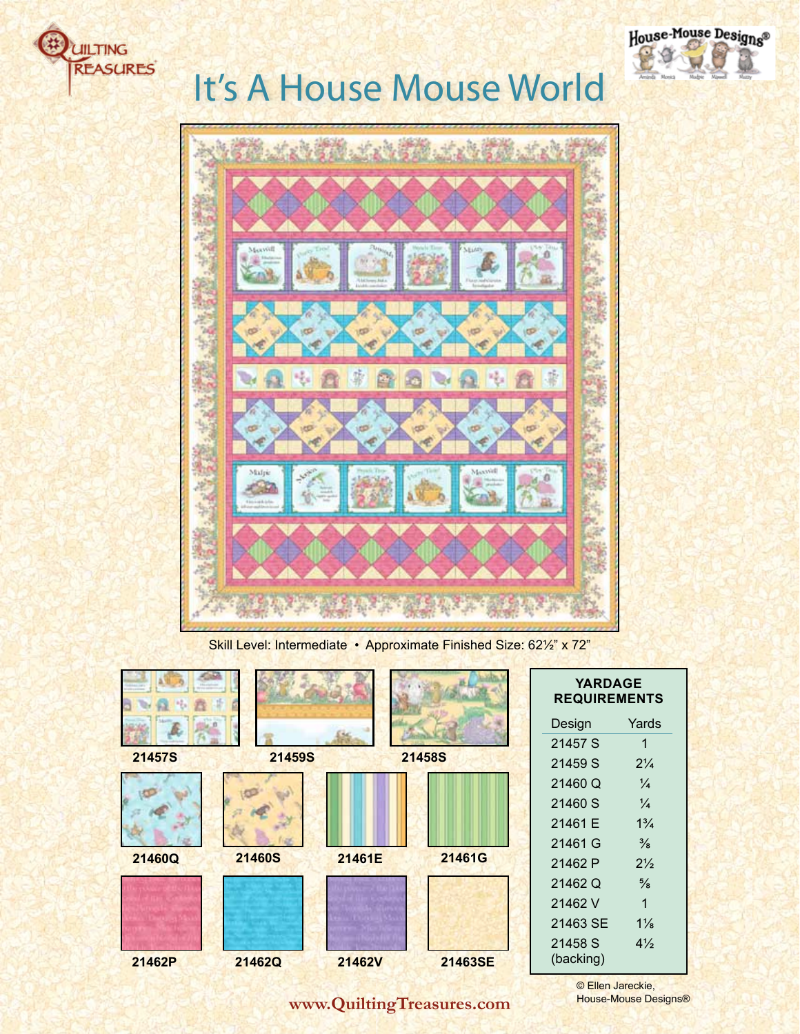



Skill Level: Intermediate • Approximate Finished Size: 62½" x 72"

|        |               |        |         | Y<br><b>REQ</b> |
|--------|---------------|--------|---------|-----------------|
|        |               |        |         | Desig           |
| 21457S | <b>21459S</b> |        | 21458S  | 2145<br>2145    |
|        |               |        |         | 2146            |
|        |               |        |         | 2146            |
|        |               |        |         | 2146            |
|        |               |        |         | 2146'           |
| 21460Q | <b>21460S</b> | 21461E | 21461G  | 2146            |
|        |               |        |         | 2146            |
|        |               |        |         | 2146            |
|        |               |        |         | 2146            |
|        |               |        |         | 2145            |
| 21462P | 21462Q        | 21462V | 21463SE | (back           |

| <b>YARDAGE</b><br><b>REQUIREMENTS</b> |                |  |  |  |
|---------------------------------------|----------------|--|--|--|
| Design                                | Yards          |  |  |  |
| 21457 S                               | 1              |  |  |  |
| 21459 S                               | $2\frac{1}{4}$ |  |  |  |
| 21460 Q                               | $\frac{1}{4}$  |  |  |  |
| 21460 S                               | $\frac{1}{4}$  |  |  |  |
| 21461 E                               | $1\frac{3}{4}$ |  |  |  |
| 21461 G                               | $\frac{3}{8}$  |  |  |  |
| 21462 P                               | $2\frac{1}{2}$ |  |  |  |
| 21462 Q                               | $\frac{5}{8}$  |  |  |  |
| 21462 V                               | 1              |  |  |  |
| 21463 SE                              | $1\frac{1}{8}$ |  |  |  |
| 21458 S                               | $4\frac{1}{2}$ |  |  |  |
| (backing)                             |                |  |  |  |

House-Mouse Designs®

**www.QuiltingTreasures.com**

© Ellen Jareckie, House-Mouse Designs®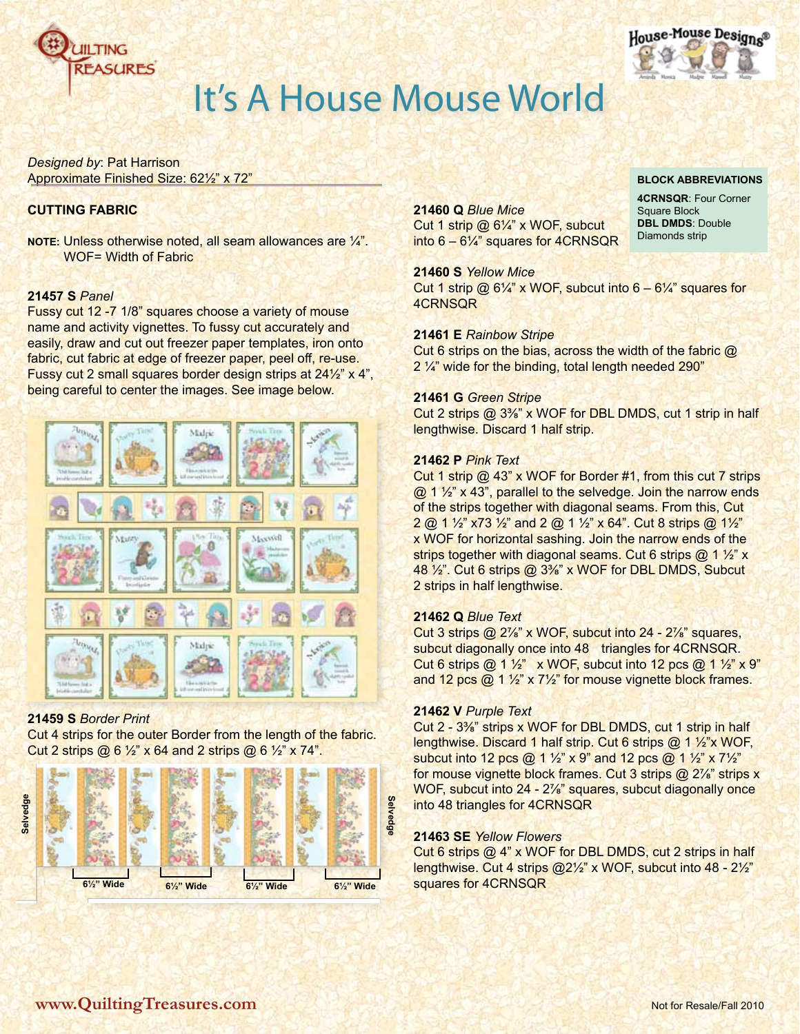



**Block Abbreviations 4CRNSQR**: Four Corner

Square Block **DBL DMDS**: Double Diamonds strip

## It's A House Mouse World

*Designed by*: Pat Harrison Approximate Finished Size: 62½" x 72"

### **CUTTING FABRIC**

**NOTE:** Unless otherwise noted, all seam allowances are ¼". WOF= Width of Fabric

### **21457 S** *Panel*

Fussy cut 12 -7 1/8" squares choose a variety of mouse name and activity vignettes. To fussy cut accurately and easily, draw and cut out freezer paper templates, iron onto fabric, cut fabric at edge of freezer paper, peel off, re-use. Fussy cut 2 small squares border design strips at 24½" x 4", being careful to center the images. See image below.



### **21459 S** *Border Print*

Cut 4 strips for the outer Border from the length of the fabric. Cut 2 strips  $(2)$  6  $\frac{1}{2}$  x 64 and 2 strips  $(2)$  6  $\frac{1}{2}$  x 74".



### **21460 Q** *Blue Mice*

Cut 1 strip @ 6¼" x WOF, subcut into 6 – 6¼" squares for 4CRNSQR

**21460 S** *Yellow Mice*

Cut 1 strip @  $6\frac{1}{4}$ " x WOF, subcut into  $6 - 6\frac{1}{4}$ " squares for 4CRNSQR

#### **21461 E** *Rainbow Stripe*

Cut 6 strips on the bias, across the width of the fabric @ 2 ¼" wide for the binding, total length needed 290"

#### **21461 G** *Green Stripe*

Cut 2 strips @ 3⅜" x WOF for DBL DMDS, cut 1 strip in half lengthwise. Discard 1 half strip.

#### **21462 P** *Pink Text*

Cut 1 strip @ 43" x WOF for Border #1, from this cut 7 strips @ 1 ½" x 43", parallel to the selvedge. Join the narrow ends of the strips together with diagonal seams. From this, Cut 2 @ 1 ½" x73 ½" and 2 @ 1 ½" x 64". Cut 8 strips @ 1½" x WOF for horizontal sashing. Join the narrow ends of the strips together with diagonal seams. Cut 6 strips @ 1 1/2" x 48 ½". Cut 6 strips @ 3⅜" x WOF for DBL DMDS, Subcut 2 strips in half lengthwise.

### **21462 Q** *Blue Text*

Cut 3 strips @ 2⅞" x WOF, subcut into 24 - 2⅞" squares, subcut diagonally once into 48 triangles for 4CRNSQR. Cut 6 strips  $\omega$  1 1/<sub>2</sub>" x WOF, subcut into 12 pcs  $\omega$  1 1/<sub>2</sub>" x 9" and 12 pcs @ 1 ½" x 7½" for mouse vignette block frames.

#### **21462 V** *Purple Text*

Cut 2 - 3⅜" strips x WOF for DBL DMDS, cut 1 strip in half lengthwise. Discard 1 half strip. Cut 6 strips @ 1 ½"x WOF, subcut into 12 pcs @ 1 ½" x 9" and 12 pcs @ 1 ½" x 7½" for mouse vignette block frames. Cut 3 strips @ 2%" strips x WOF, subcut into 24 - 2<sup>7/8"</sup> squares, subcut diagonally once into 48 triangles for 4CRNSQR

### **21463 SE** *Yellow Flowers*

Cut 6 strips @ 4" x WOF for DBL DMDS, cut 2 strips in half lengthwise. Cut 4 strips @2½" x WOF, subcut into 48 - 2½" squares for 4CRNSQR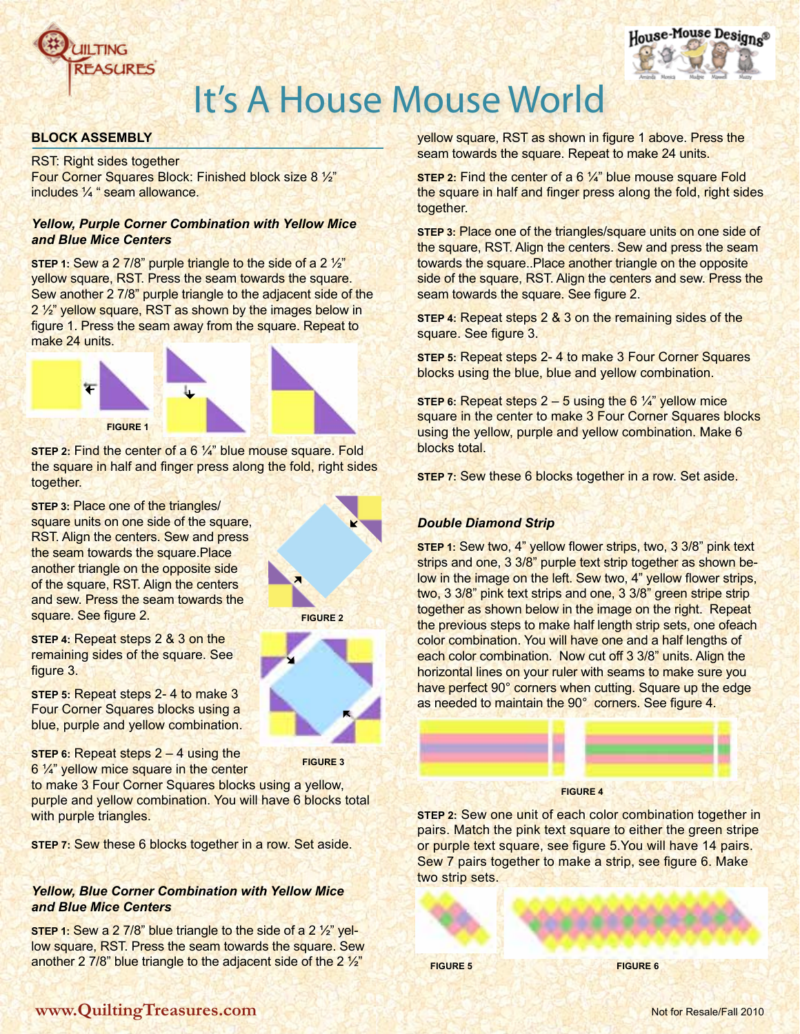



### **Block Assembly**

RST: Right sides together Four Corner Squares Block: Finished block size 8 ½" includes ¼ " seam allowance.

### *Yellow, Purple Corner Combination with Yellow Mice and Blue Mice Centers*

**STEP 1:** Sew a 2 7/8" purple triangle to the side of a 2 1/2" yellow square, RST. Press the seam towards the square. Sew another 2 7/8" purple triangle to the adjacent side of the 2 ½" yellow square, RST as shown by the images below in figure 1. Press the seam away from the square. Repeat to make 24 units.



**STEP 2: Find the center of a 6 1/4" blue mouse square. Fold** the square in half and finger press along the fold, right sides together.

**Step 3:** Place one of the triangles/ square units on one side of the square, RST. Align the centers. Sew and press the seam towards the square.Place another triangle on the opposite side of the square, RST. Align the centers and sew. Press the seam towards the square. See figure 2.

**Step 4:** Repeat steps 2 & 3 on the remaining sides of the square. See figure 3.

**Step 5:** Repeat steps 2- 4 to make 3 Four Corner Squares blocks using a blue, purple and yellow combination.

**Step 6:** Repeat steps 2 – 4 using the 6 1/4" yellow mice square in the center

to make 3 Four Corner Squares blocks using a yellow, purple and yellow combination. You will have 6 blocks total with purple triangles.

**STEP 7:** Sew these 6 blocks together in a row. Set aside.

### *Yellow, Blue Corner Combination with Yellow Mice and Blue Mice Centers*

**Step 1:** Sew a 2 7/8" blue triangle to the side of a 2 ½" yellow square, RST. Press the seam towards the square. Sew another 2 7/8" blue triangle to the adjacent side of the 2 ½"



**Figure 3**

yellow square, RST as shown in figure 1 above. Press the seam towards the square. Repeat to make 24 units.

**STEP 2:** Find the center of a 6 1/4" blue mouse square Fold the square in half and finger press along the fold, right sides together.

**Step 3:** Place one of the triangles/square units on one side of the square, RST. Align the centers. Sew and press the seam towards the square..Place another triangle on the opposite side of the square, RST. Align the centers and sew. Press the seam towards the square. See figure 2.

**Step 4:** Repeat steps 2 & 3 on the remaining sides of the square. See figure 3.

**Step 5:** Repeat steps 2- 4 to make 3 Four Corner Squares blocks using the blue, blue and yellow combination.

**STEP 6:** Repeat steps  $2 - 5$  using the 6  $\frac{1}{4}$  yellow mice square in the center to make 3 Four Corner Squares blocks using the yellow, purple and yellow combination. Make 6 blocks total.

**Step 7:** Sew these 6 blocks together in a row. Set aside.

## *Double Diamond Strip*

**Step 1:** Sew two, 4" yellow flower strips, two, 3 3/8" pink text strips and one, 3 3/8" purple text strip together as shown below in the image on the left. Sew two, 4" yellow flower strips, two, 3 3/8" pink text strips and one, 3 3/8" green stripe strip together as shown below in the image on the right. Repeat the previous steps to make half length strip sets, one ofeach color combination. You will have one and a half lengths of each color combination. Now cut off 3 3/8" units. Align the horizontal lines on your ruler with seams to make sure you have perfect 90° corners when cutting. Square up the edge as needed to maintain the 90° corners. See figure 4.



**Figure 4**

**Step 2:** Sew one unit of each color combination together in pairs. Match the pink text square to either the green stripe or purple text square, see figure 5.You will have 14 pairs. Sew 7 pairs together to make a strip, see figure 6. Make two strip sets.

**Figure 5 Figure 6**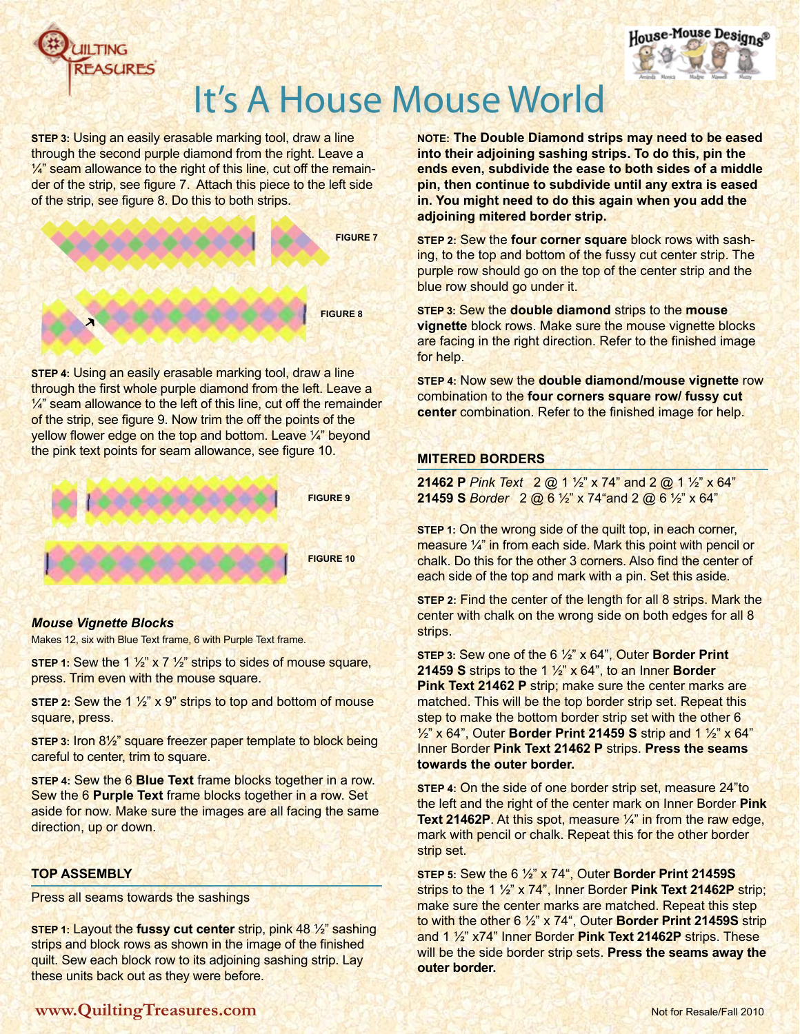



**STEP 3: Using an easily erasable marking tool, draw a line** through the second purple diamond from the right. Leave a  $\frac{1}{4}$  seam allowance to the right of this line, cut off the remainder of the strip, see figure 7. Attach this piece to the left side of the strip, see figure 8. Do this to both strips.



**Step 4:** Using an easily erasable marking tool, draw a line through the first whole purple diamond from the left. Leave a  $\frac{1}{4}$ " seam allowance to the left of this line, cut off the remainder of the strip, see figure 9. Now trim the off the points of the yellow flower edge on the top and bottom. Leave ¼" beyond the pink text points for seam allowance, see figure 10.



### *Mouse Vignette Blocks*

Makes 12, six with Blue Text frame, 6 with Purple Text frame.

**STEP 1:** Sew the 1 1/2" x 7 1/2" strips to sides of mouse square, press. Trim even with the mouse square.

**STEP 2: Sew the 1 1/2" x 9" strips to top and bottom of mouse** square, press.

**Step 3:** Iron 8½" square freezer paper template to block being careful to center, trim to square.

**Step 4:** Sew the 6 **Blue Text** frame blocks together in a row. Sew the 6 **Purple Text** frame blocks together in a row. Set aside for now. Make sure the images are all facing the same direction, up or down.

### **top Assembly**

Press all seams towards the sashings

**Step 1:** Layout the **fussy cut center** strip, pink 48 ½" sashing strips and block rows as shown in the image of the finished quilt. Sew each block row to its adjoining sashing strip. Lay these units back out as they were before.

**NOTE: The Double Diamond strips may need to be eased into their adjoining sashing strips. To do this, pin the ends even, subdivide the ease to both sides of a middle pin, then continue to subdivide until any extra is eased in. You might need to do this again when you add the adjoining mitered border strip.**

**Step 2:** Sew the **four corner square** block rows with sashing, to the top and bottom of the fussy cut center strip. The purple row should go on the top of the center strip and the blue row should go under it.

**Step 3:** Sew the **double diamond** strips to the **mouse vignette** block rows. Make sure the mouse vignette blocks are facing in the right direction. Refer to the finished image for help.

**Step 4:** Now sew the **double diamond/mouse vignette** row combination to the **four corners square row/ fussy cut center** combination. Refer to the finished image for help.

### **mitered borders**

**21462 P** *Pink Text* 2 @ 1 ½" x 74" and 2 @ 1 ½" x 64" **21459 S** *Border* 2 @ 6 ½" x 74"and 2 @ 6 ½" x 64"

**STEP 1:** On the wrong side of the quilt top, in each corner, measure ¼" in from each side. Mark this point with pencil or chalk. Do this for the other 3 corners. Also find the center of each side of the top and mark with a pin. Set this aside.

**Step 2:** Find the center of the length for all 8 strips. Mark the center with chalk on the wrong side on both edges for all 8 strips.

**Step 3:** Sew one of the 6 ½" x 64", Outer **Border Print 21459 S** strips to the 1 ½" x 64", to an Inner **Border Pink Text 21462 P** strip; make sure the center marks are matched. This will be the top border strip set. Repeat this step to make the bottom border strip set with the other 6 ½" x 64", Outer **Border Print 21459 S** strip and 1 ½" x 64" Inner Border **Pink Text 21462 P** strips. **Press the seams towards the outer border.**

**Step 4:** On the side of one border strip set, measure 24"to the left and the right of the center mark on Inner Border **Pink Text 21462P**. At this spot, measure ¼" in from the raw edge, mark with pencil or chalk. Repeat this for the other border strip set.

**Step 5:** Sew the 6 ½" x 74", Outer **Border Print 21459S** strips to the 1 ½" x 74", Inner Border **Pink Text 21462P** strip; make sure the center marks are matched. Repeat this step to with the other 6 ½" x 74", Outer **Border Print 21459S** strip and 1 ½" x74" Inner Border **Pink Text 21462P** strips. These will be the side border strip sets. **Press the seams away the outer border.**

## **www.QuiltingTreasures.com Notion Research 2010** Not for Resale/Fall 2010